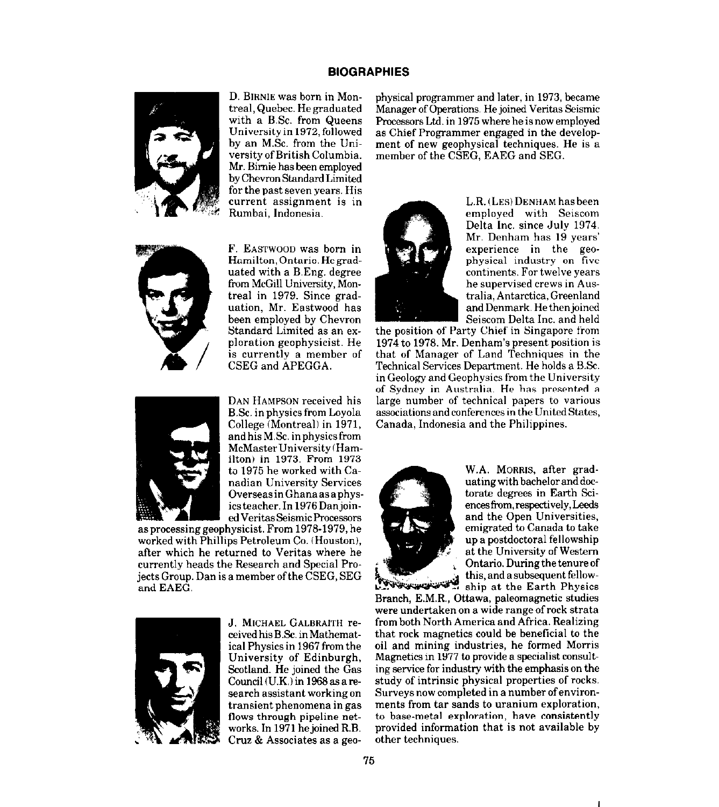## **BIOGRAPHIES**



D. BIRNIE was born in Montreal,Quebec. Hegraduated with a B.Sc. from Queens University in 1972, followed by an MSc. from the UniversityofBritish Columbia. Mr. Birnie has been employed by Chevron Standard Limited for the past seven years. His current assignment is in Rumbai. Indonesia.



F. EASTWOOD was born in Hamilton,Ontario.Hegraduated with a B.Eng. degree from McGill University, Montreal in 1979. Since graduation, Mr. Eastwood has been employed by Chevron Standard Limited as an exoloration eeoohvsicist. He is currently a member of CSEG and APEGGA.



edVeritasSeismicProcessors DAN HAMPSON received his B.Sc. in physics from Loyola College (Montreal) in 1971, andhisM.Sc. inphysicsfrom McMasterUniversity(Hamilton) in 1973. From 1973 ta 1975 he worked with Canadian University Services OverseasinGhanaasaphysics teacher. In 1976 Danjoin-

asproeesslnggeophysicist. From 1978-1979, he worked with Phillips Petroleum Co. (Houston), after which he returned to Veritas where he currently heads the Research and Special Projects Group. Dan is a member of the CSEG, SEG and EAEG.



J. MICHAEL GALBRAITH received his B.Sc. in Mathematical Physics in 1967 from the University of Edinburgh, Scotland. He joined the Gas Council (U.K.) in 1968 as a research assistant working on transient phenomena in gas flows through pipeline networks. In 1971 hejoined R.B. Cruz & Associates as a geophysical programmer and later, in 1973, became Manager of Operations He joined Veritas Seismic Processors Ltd. in 1975 where he is now employed as Chief Programmer engaged in the development of new geophysical techniques. He is a member of the CSEG, EAEG and SEG.



L.R. (LEs) DENHAM has been employed with Seiscom Delta Inc. since July 1974. Mr. Denham has 19 years' experience in the geophysical industry on five continents. For twelve years he supervised crews in Australia, Antarctica, Greenland and Denmark. He thenjoined Seiscom Delta Inc. and held

the position of Party Chief in Singapore from 1974 to 1978. Mr. Denham's present position is that of Manager of Land Techniques in the Technical Services Department. He holds a B.Sc. in Geology and Geophysics from the University of Sydney in Australia. He has presented a large number of technical papers to various associations and conferences in the United States, Canada, Indonesia and the Philippines.



W.A. MORRIS, after graduating with bachelor and doctorate degrees in Earth Sciences from, respectively, Leeds and the Open Universities, emigrated to Canada to take up a postdoctoral fellowship at the University of Western Ontario. During the tenure of this, and asubsequent fellowship at the Earth Physics

Branch, E.M.R., Ottawa, paleomagnetic studies were undertaken on a wide range ofrock strata from both North America and Africa. Realizing that rock magnetics could be beneficial to the oil and mining industries, he formed Morris Magnetics in 1977 ta provide a specialist consulting service for industry with the emphasis on the study of intrinsic physical properties of rocks. Surveys now completed in a number of environments from tar sands to uranium exploration, to base-metal exploration, have consistently provided information that is not available by other techniques.